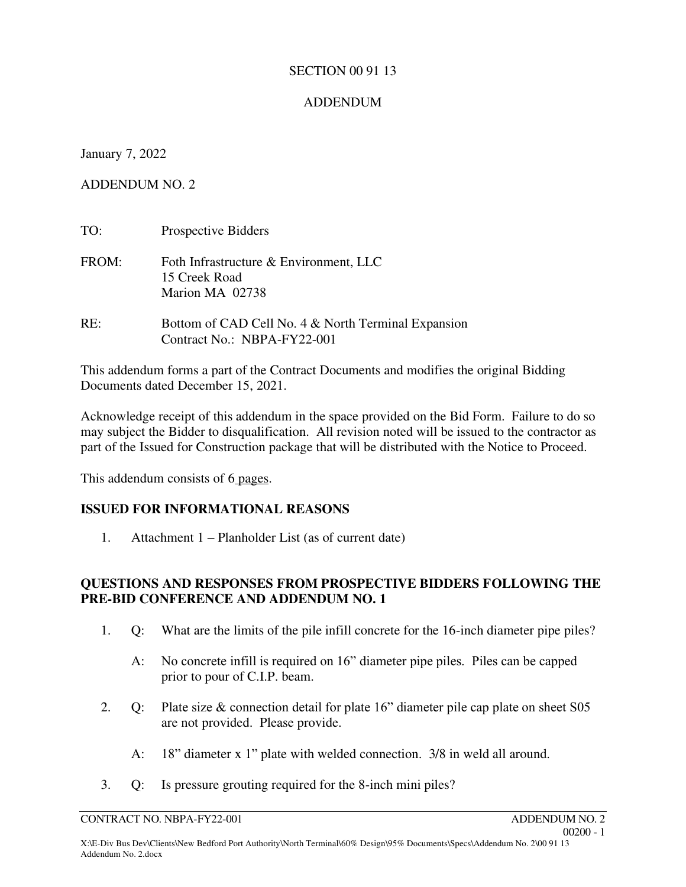#### SECTION 00 91 13

## ADDENDUM

January 7, 2022

ADDENDUM NO. 2

| TO:   | Prospective Bidders                                                                |
|-------|------------------------------------------------------------------------------------|
| FROM: | Foth Infrastructure & Environment, LLC<br>15 Creek Road<br>Marion MA 02738         |
| RE:   | Bottom of CAD Cell No. 4 & North Terminal Expansion<br>Contract No.: NBPA-FY22-001 |

This addendum forms a part of the Contract Documents and modifies the original Bidding Documents dated December 15, 2021.

Acknowledge receipt of this addendum in the space provided on the Bid Form. Failure to do so may subject the Bidder to disqualification. All revision noted will be issued to the contractor as part of the Issued for Construction package that will be distributed with the Notice to Proceed.

This addendum consists of 6 pages.

## **ISSUED FOR INFORMATIONAL REASONS**

1. Attachment 1 – Planholder List (as of current date)

## **QUESTIONS AND RESPONSES FROM PROSPECTIVE BIDDERS FOLLOWING THE PRE-BID CONFERENCE AND ADDENDUM NO. 1**

- 1. Q: What are the limits of the pile infill concrete for the 16-inch diameter pipe piles?
	- A: No concrete infill is required on 16" diameter pipe piles. Piles can be capped prior to pour of C.I.P. beam.
- 2. Q: Plate size & connection detail for plate 16" diameter pile cap plate on sheet S05 are not provided. Please provide.
	- A: 18" diameter x 1" plate with welded connection. 3/8 in weld all around.
- 3. Q: Is pressure grouting required for the 8-inch mini piles?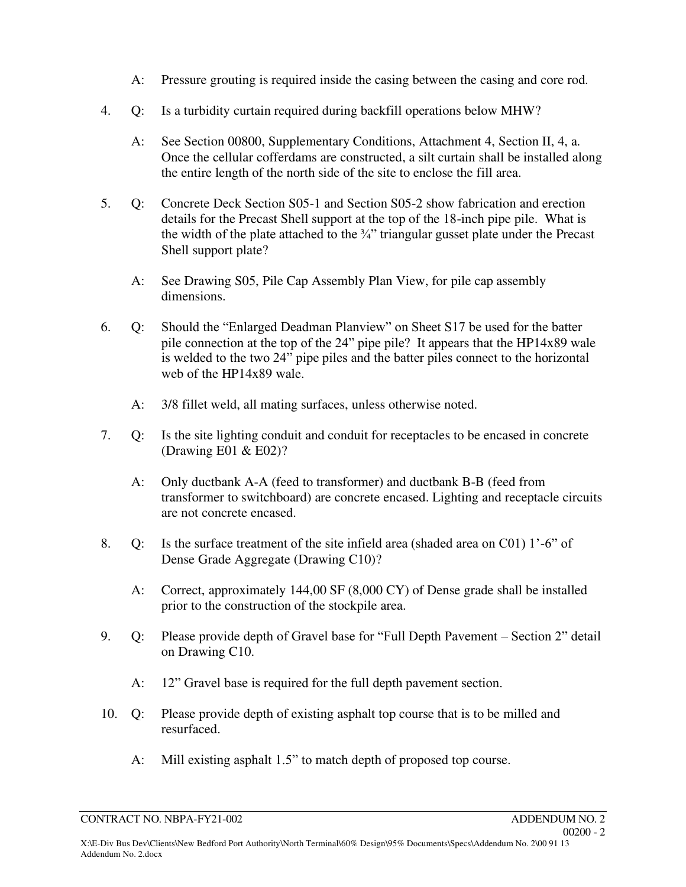- A: Pressure grouting is required inside the casing between the casing and core rod.
- 4. Q: Is a turbidity curtain required during backfill operations below MHW?
	- A: See Section 00800, Supplementary Conditions, Attachment 4, Section II, 4, a. Once the cellular cofferdams are constructed, a silt curtain shall be installed along the entire length of the north side of the site to enclose the fill area.
- 5. Q: Concrete Deck Section S05-1 and Section S05-2 show fabrication and erection details for the Precast Shell support at the top of the 18-inch pipe pile. What is the width of the plate attached to the  $\frac{3}{4}$ " triangular gusset plate under the Precast Shell support plate?
	- A: See Drawing S05, Pile Cap Assembly Plan View, for pile cap assembly dimensions.
- 6. Q: Should the "Enlarged Deadman Planview" on Sheet S17 be used for the batter pile connection at the top of the 24" pipe pile? It appears that the HP14x89 wale is welded to the two 24" pipe piles and the batter piles connect to the horizontal web of the HP14x89 wale.
	- A: 3/8 fillet weld, all mating surfaces, unless otherwise noted.
- 7. Q: Is the site lighting conduit and conduit for receptacles to be encased in concrete (Drawing E01 & E02)?
	- A: Only ductbank A-A (feed to transformer) and ductbank B-B (feed from transformer to switchboard) are concrete encased. Lighting and receptacle circuits are not concrete encased.
- 8. Q: Is the surface treatment of the site infield area (shaded area on C01) 1'-6" of Dense Grade Aggregate (Drawing C10)?
	- A: Correct, approximately 144,00 SF (8,000 CY) of Dense grade shall be installed prior to the construction of the stockpile area.
- 9. Q: Please provide depth of Gravel base for "Full Depth Pavement Section 2" detail on Drawing C10.
	- A: 12" Gravel base is required for the full depth pavement section.
- 10. Q: Please provide depth of existing asphalt top course that is to be milled and resurfaced.
	- A: Mill existing asphalt 1.5" to match depth of proposed top course.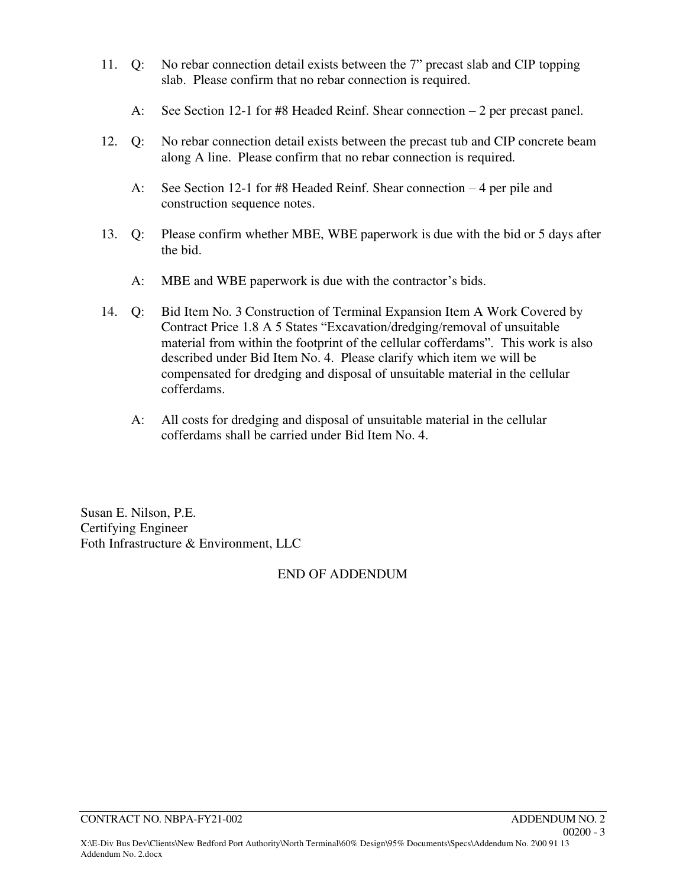- 11. Q: No rebar connection detail exists between the 7" precast slab and CIP topping slab. Please confirm that no rebar connection is required.
	- A: See Section 12-1 for #8 Headed Reinf. Shear connection 2 per precast panel.
- 12. Q: No rebar connection detail exists between the precast tub and CIP concrete beam along A line. Please confirm that no rebar connection is required.
	- A: See Section 12-1 for #8 Headed Reinf. Shear connection 4 per pile and construction sequence notes.
- 13. Q: Please confirm whether MBE, WBE paperwork is due with the bid or 5 days after the bid.
	- A: MBE and WBE paperwork is due with the contractor's bids.
- 14. Q: Bid Item No. 3 Construction of Terminal Expansion Item A Work Covered by Contract Price 1.8 A 5 States "Excavation/dredging/removal of unsuitable material from within the footprint of the cellular cofferdams". This work is also described under Bid Item No. 4. Please clarify which item we will be compensated for dredging and disposal of unsuitable material in the cellular cofferdams.
	- A: All costs for dredging and disposal of unsuitable material in the cellular cofferdams shall be carried under Bid Item No. 4.

Susan E. Nilson, P.E. Certifying Engineer Foth Infrastructure & Environment, LLC

## END OF ADDENDUM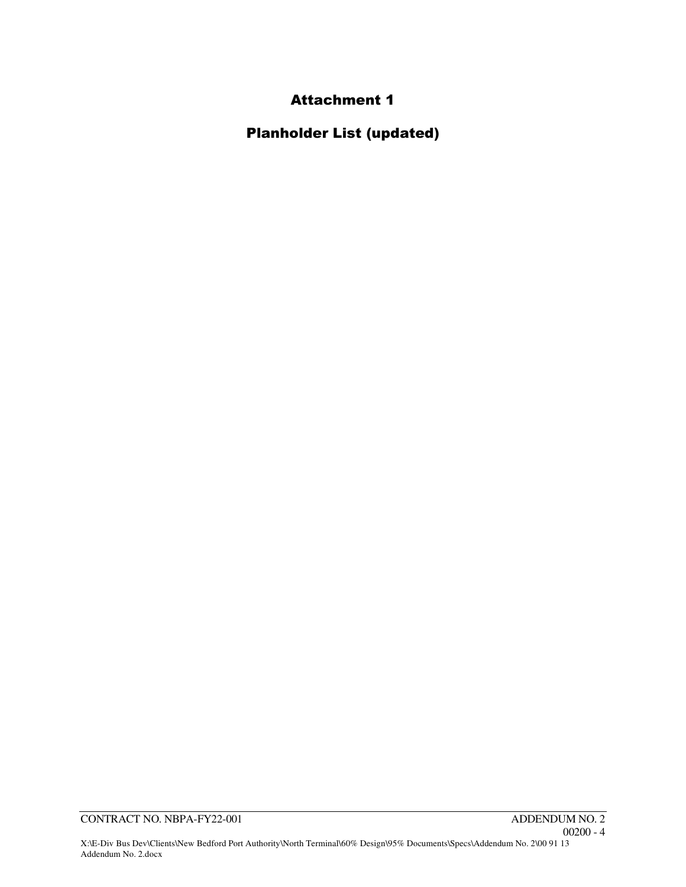# Attachment 1

Planholder List (updated)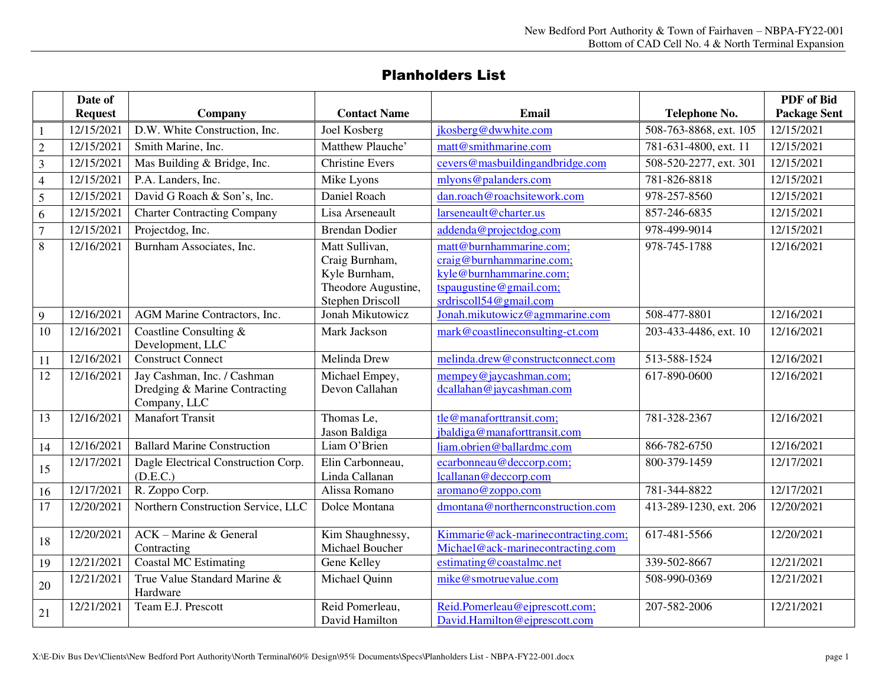## Planholders List

|                | Date of<br><b>Request</b> |                                                                              | <b>Contact Name</b>                                                                                 | Email                                                                                                                                        |                                         | <b>PDF</b> of Bid<br><b>Package Sent</b> |
|----------------|---------------------------|------------------------------------------------------------------------------|-----------------------------------------------------------------------------------------------------|----------------------------------------------------------------------------------------------------------------------------------------------|-----------------------------------------|------------------------------------------|
|                | 12/15/2021                | Company<br>D.W. White Construction, Inc.                                     | Joel Kosberg                                                                                        | jkosberg@dwwhite.com                                                                                                                         | Telephone No.<br>508-763-8868, ext. 105 | 12/15/2021                               |
|                | 12/15/2021                | Smith Marine, Inc.                                                           | Matthew Plauche'                                                                                    | matt@smithmarine.com                                                                                                                         | 781-631-4800, ext. 11                   | 12/15/2021                               |
| $\sqrt{2}$     | 12/15/2021                | Mas Building & Bridge, Inc.                                                  | <b>Christine Evers</b>                                                                              | cevers@masbuildingandbridge.com                                                                                                              | 508-520-2277, ext. 301                  | 12/15/2021                               |
| 3              |                           | P.A. Landers, Inc.                                                           |                                                                                                     | mlyons@palanders.com                                                                                                                         | 781-826-8818                            | 12/15/2021                               |
| $\overline{4}$ | 12/15/2021                |                                                                              | Mike Lyons                                                                                          |                                                                                                                                              |                                         |                                          |
| 5              | 12/15/2021                | David G Roach & Son's, Inc.                                                  | Daniel Roach                                                                                        | dan.roach@roachsitework.com                                                                                                                  | 978-257-8560                            | 12/15/2021                               |
| 6              | 12/15/2021                | <b>Charter Contracting Company</b>                                           | Lisa Arseneault                                                                                     | larseneault@charter.us                                                                                                                       | 857-246-6835                            | 12/15/2021                               |
| $\overline{7}$ | 12/15/2021                | Projectdog, Inc.                                                             | Brendan Dodier                                                                                      | addenda@projectdog.com                                                                                                                       | 978-499-9014                            | 12/15/2021                               |
| 8              | 12/16/2021                | Burnham Associates, Inc.                                                     | Matt Sullivan,<br>Craig Burnham,<br>Kyle Burnham,<br>Theodore Augustine,<br><b>Stephen Driscoll</b> | matt@burnhammarine.com;<br>craig@burnhammarine.com;<br>kyle@burnhammarine.com;<br>$tspaugustine \omega gmail.com;$<br>srdriscoll54@gmail.com | 978-745-1788                            | 12/16/2021                               |
| 9              | 12/16/2021                | AGM Marine Contractors, Inc.                                                 | Jonah Mikutowicz                                                                                    | Jonah.mikutowicz@agmmarine.com                                                                                                               | 508-477-8801                            | 12/16/2021                               |
| 10             | 12/16/2021                | Coastline Consulting &<br>Development, LLC                                   | Mark Jackson                                                                                        | mark@coastlineconsulting-ct.com                                                                                                              | 203-433-4486, ext. 10                   | 12/16/2021                               |
| 11             | 12/16/2021                | <b>Construct Connect</b>                                                     | Melinda Drew                                                                                        | melinda.drew@constructconnect.com                                                                                                            | 513-588-1524                            | 12/16/2021                               |
| 12             | 12/16/2021                | Jay Cashman, Inc. / Cashman<br>Dredging & Marine Contracting<br>Company, LLC | Michael Empey,<br>Devon Callahan                                                                    | mempey@jaycashman.com;<br>dcallahan@jaycashman.com                                                                                           | 617-890-0600                            | 12/16/2021                               |
| 13             | 12/16/2021                | <b>Manafort Transit</b>                                                      | Thomas Le,<br>Jason Baldiga                                                                         | tle@manaforttransit.com;<br>jbaldiga@manaforttransit.com                                                                                     | 781-328-2367                            | 12/16/2021                               |
| 14             | 12/16/2021                | <b>Ballard Marine Construction</b>                                           | Liam O'Brien                                                                                        | liam.obrien@ballardmc.com                                                                                                                    | 866-782-6750                            | 12/16/2021                               |
| 15             | 12/17/2021                | Dagle Electrical Construction Corp.<br>(D.E.C.)                              | Elin Carbonneau,<br>Linda Callanan                                                                  | ecarbonneau@deccorp.com;<br>lcallanan@deccorp.com                                                                                            | 800-379-1459                            | 12/17/2021                               |
| 16             | 12/17/2021                | R. Zoppo Corp.                                                               | Alissa Romano                                                                                       | aromano@zoppo.com                                                                                                                            | 781-344-8822                            | 12/17/2021                               |
| 17             | 12/20/2021                | Northern Construction Service, LLC                                           | Dolce Montana                                                                                       | dmontana@northernconstruction.com                                                                                                            | 413-289-1230, ext. 206                  | 12/20/2021                               |
| 18             | 12/20/2021                | ACK - Marine & General<br>Contracting                                        | Kim Shaughnessy,<br>Michael Boucher                                                                 | Kimmarie@ack-marinecontracting.com;<br>Michael@ack-marinecontracting.com                                                                     | 617-481-5566                            | 12/20/2021                               |
| 19             | 12/21/2021                | <b>Coastal MC Estimating</b>                                                 | Gene Kelley                                                                                         | estimating@coastalmc.net                                                                                                                     | 339-502-8667                            | 12/21/2021                               |
| 20             | 12/21/2021                | True Value Standard Marine &<br>Hardware                                     | Michael Quinn                                                                                       | mike@smotruevalue.com                                                                                                                        | 508-990-0369                            | 12/21/2021                               |
| 21             | 12/21/2021                | Team E.J. Prescott                                                           | Reid Pomerleau,<br>David Hamilton                                                                   | Reid.Pomerleau@ejprescott.com;<br>David.Hamilton@ejprescott.com                                                                              | 207-582-2006                            | 12/21/2021                               |